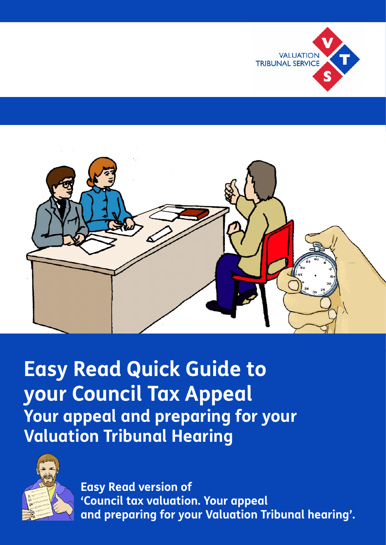

**Easy Read Quick Guide to your Council Tax Appeal Your appeal and preparing for your Valuation Tribunal Hearing**



**Easy Read version of 'Council tax valuation. Your appeal and preparing for your Valuation Tribunal hearing'.**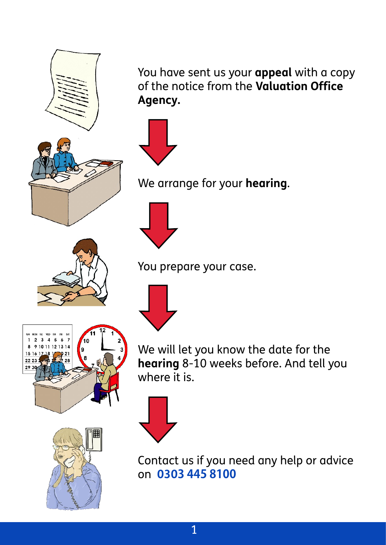



We arrange for your **hearing**.





We will let you know the date for the **hearing** 8-10 weeks before. And tell you where it is.





Contact us if you need any help or advice on **0303 445 8100**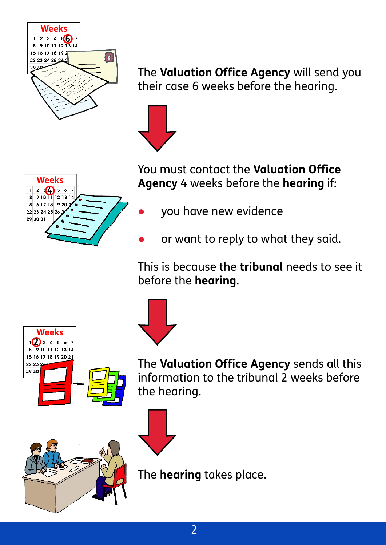

The **Valuation Office Agency** will send you their case 6 weeks before the hearing.





You must contact the **Valuation Office Agency** 4 weeks before the **hearing** if:

- you have new evidence
- or want to reply to what they said.

This is because the **tribunal** needs to see it before the **hearing**.



The **Valuation Office Agency** sends all this information to the tribunal 2 weeks before the hearing.





The **hearing** takes place.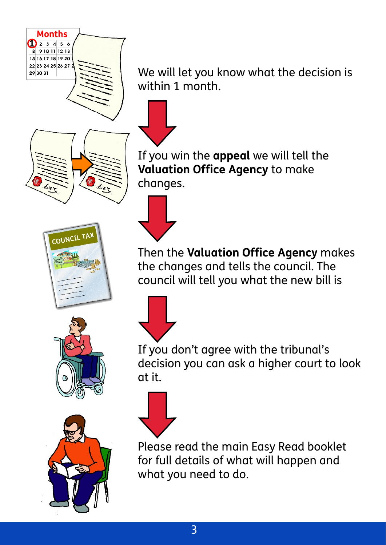

**Months**  $\sum_{2} 3456$ 9 10 11 12 13 15 16 17 18 19 20 22 23 24 25 26 27

29 30 31







We will let you know what the decision is within 1 month.



If you win the **appeal** we will tell the **Valuation Office Agency** to make changes.



Then the **Valuation Office Agency** makes the changes and tells the council. The council will tell you what the new bill is



If you don't agree with the tribunal's decision you can ask a higher court to look at it.



Please read the main Easy Read booklet for full details of what will happen and what you need to do.